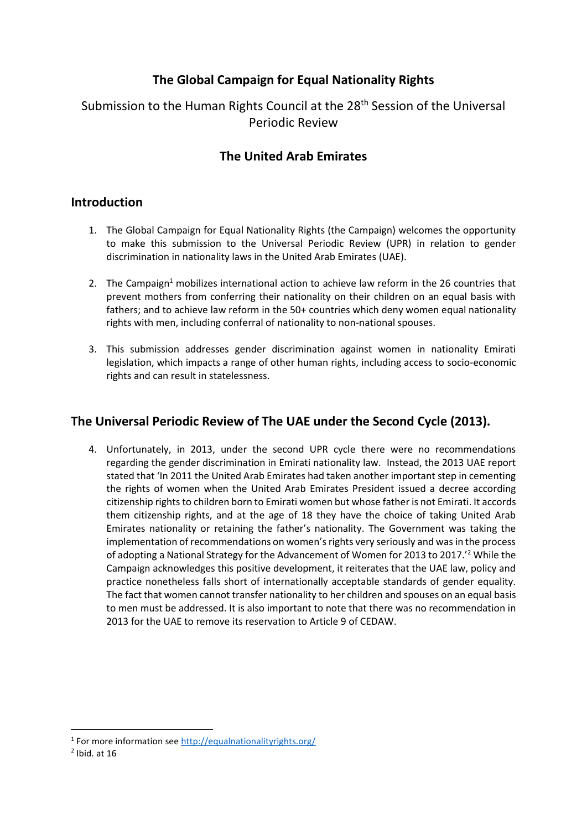# **The Global Campaign for Equal Nationality Rights**

# Submission to the Human Rights Council at the 28<sup>th</sup> Session of the Universal Periodic Review

## **The United Arab Emirates**

#### **Introduction**

- 1. The Global Campaign for Equal Nationality Rights (the Campaign) welcomes the opportunity to make this submission to the Universal Periodic Review (UPR) in relation to gender discrimination in nationality laws in the United Arab Emirates (UAE).
- 2. The Campaign<sup>1</sup> mobilizes international action to achieve law reform in the 26 countries that prevent mothers from conferring their nationality on their children on an equal basis with fathers; and to achieve law reform in the 50+ countries which deny women equal nationality rights with men, including conferral of nationality to non-national spouses.
- 3. This submission addresses gender discrimination against women in nationality Emirati legislation, which impacts a range of other human rights, including access to socio-economic rights and can result in statelessness.

## **The Universal Periodic Review of The UAE under the Second Cycle (2013).**

4. Unfortunately, in 2013, under the second UPR cycle there were no recommendations regarding the gender discrimination in Emirati nationality law. Instead, the 2013 UAE report stated that 'In 2011 the United Arab Emirates had taken another important step in cementing the rights of women when the United Arab Emirates President issued a decree according citizenship rights to children born to Emirati women but whose father is not Emirati. It accords them citizenship rights, and at the age of 18 they have the choice of taking United Arab Emirates nationality or retaining the father's nationality. The Government was taking the implementation of recommendations on women's rights very seriously and was in the process of adopting a National Strategy for the Advancement of Women for 2013 to 2017.'<sup>2</sup> While the Campaign acknowledges this positive development, it reiterates that the UAE law, policy and practice nonetheless falls short of internationally acceptable standards of gender equality. The fact that women cannot transfer nationality to her children and spouses on an equal basis to men must be addressed. It is also important to note that there was no recommendation in 2013 for the UAE to remove its reservation to Article 9 of CEDAW.

1

<sup>&</sup>lt;sup>1</sup> For more information see<http://equalnationalityrights.org/>

 $<sup>2</sup>$  Ibid. at 16</sup>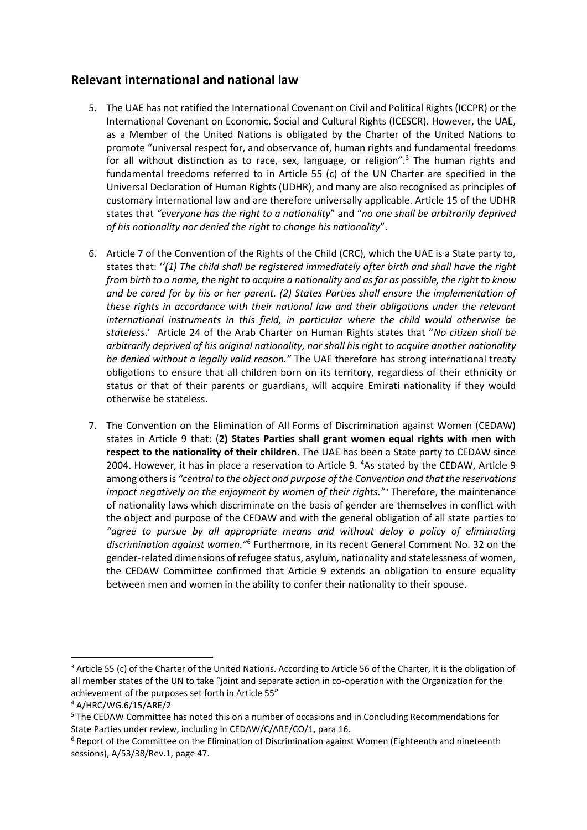## **Relevant international and national law**

- 5. The UAE has not ratified the International Covenant on Civil and Political Rights (ICCPR) or the International Covenant on Economic, Social and Cultural Rights (ICESCR). However, the UAE, as a Member of the United Nations is obligated by the Charter of the United Nations to promote "universal respect for, and observance of, human rights and fundamental freedoms for all without distinction as to race, sex, language, or religion".<sup>3</sup> The human rights and fundamental freedoms referred to in Article 55 (c) of the UN Charter are specified in the Universal Declaration of Human Rights (UDHR), and many are also recognised as principles of customary international law and are therefore universally applicable. Article 15 of the UDHR states that *"everyone has the right to a nationality*" and "*no one shall be arbitrarily deprived of his nationality nor denied the right to change his nationality*".
- 6. Article 7 of the Convention of the Rights of the Child (CRC), which the UAE is a State party to, states that: '*'(1) The child shall be registered immediately after birth and shall have the right from birth to a name, the right to acquire a nationality and as far as possible, the right to know and be cared for by his or her parent. (2) States Parties shall ensure the implementation of these rights in accordance with their national law and their obligations under the relevant international instruments in this field, in particular where the child would otherwise be stateless*.' Article 24 of the Arab Charter on Human Rights states that "*No citizen shall be arbitrarily deprived of his original nationality, nor shall his right to acquire another nationality be denied without a legally valid reason."* The UAE therefore has strong international treaty obligations to ensure that all children born on its territory, regardless of their ethnicity or status or that of their parents or guardians, will acquire Emirati nationality if they would otherwise be stateless.
- 7. The Convention on the Elimination of All Forms of Discrimination against Women (CEDAW) states in Article 9 that: (**2) States Parties shall grant women equal rights with men with respect to the nationality of their children**. The UAE has been a State party to CEDAW since 2004. However, it has in place a reservation to Article 9. <sup>4</sup>As stated by the CEDAW, Article 9 among othersis *"central to the object and purpose of the Convention and that the reservations impact negatively on the enjoyment by women of their rights."*<sup>5</sup> Therefore, the maintenance of nationality laws which discriminate on the basis of gender are themselves in conflict with the object and purpose of the CEDAW and with the general obligation of all state parties to *"agree to pursue by all appropriate means and without delay a policy of eliminating*  discrimination against women.<sup>16</sup> Furthermore, in its recent General Comment No. 32 on the gender-related dimensions of refugee status, asylum, nationality and statelessness of women, the CEDAW Committee confirmed that Article 9 extends an obligation to ensure equality between men and women in the ability to confer their nationality to their spouse.

1

<sup>&</sup>lt;sup>3</sup> Article 55 (c) of the Charter of the United Nations. According to Article 56 of the Charter, It is the obligation of all member states of the UN to take "joint and separate action in co-operation with the Organization for the achievement of the purposes set forth in Article 55"

<sup>4</sup> A/HRC/WG.6/15/ARE/2

<sup>&</sup>lt;sup>5</sup> The CEDAW Committee has noted this on a number of occasions and in Concluding Recommendations for State Parties under review, including in CEDAW/C/ARE/CO/1, para 16.

<sup>&</sup>lt;sup>6</sup> Report of the Committee on the Elimination of Discrimination against Women (Eighteenth and nineteenth sessions), A/53/38/Rev.1, page 47.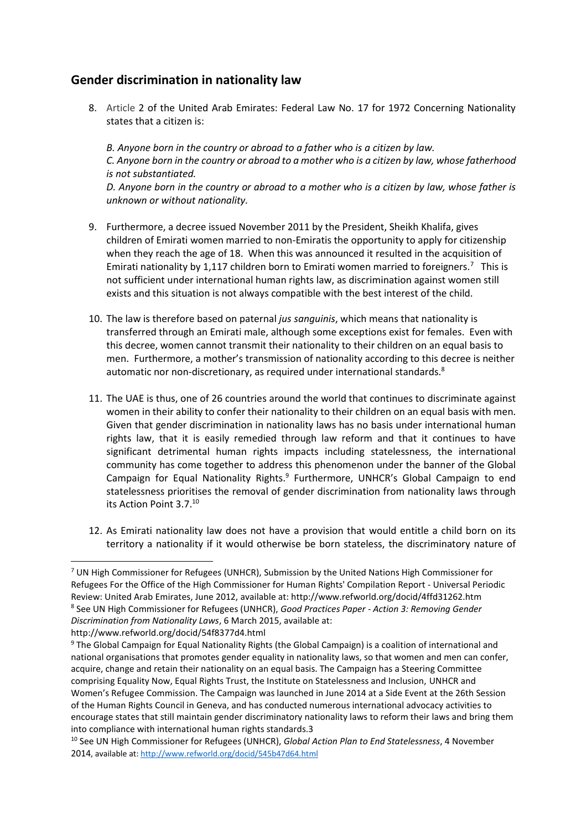#### **Gender discrimination in nationality law**

8. Article 2 of the United Arab Emirates: Federal Law No. 17 for 1972 Concerning Nationality states that a citizen is:

*B. Anyone born in the country or abroad to a father who is a citizen by law. C. Anyone born in the country or abroad to a mother who is a citizen by law, whose fatherhood is not substantiated. D. Anyone born in the country or abroad to a mother who is a citizen by law, whose father is unknown or without nationality.*

- 9. Furthermore, a decree issued November 2011 by the President, Sheikh Khalifa, gives children of Emirati women married to non-Emiratis the opportunity to apply for citizenship when they reach the age of 18. When this was announced it resulted in the acquisition of Emirati nationality by 1,117 children born to Emirati women married to foreigners.<sup>7</sup> This is not sufficient under international human rights law, as discrimination against women still exists and this situation is not always compatible with the best interest of the child.
- 10. The law is therefore based on paternal *jus sanguinis*, which means that nationality is transferred through an Emirati male, although some exceptions exist for females. Even with this decree, women cannot transmit their nationality to their children on an equal basis to men. Furthermore, a mother's transmission of nationality according to this decree is neither automatic nor non-discretionary, as required under international standards.<sup>8</sup>
- 11. The UAE is thus, one of 26 countries around the world that continues to discriminate against women in their ability to confer their nationality to their children on an equal basis with men. Given that gender discrimination in nationality laws has no basis under international human rights law, that it is easily remedied through law reform and that it continues to have significant detrimental human rights impacts including statelessness, the international community has come together to address this phenomenon under the banner of the Global Campaign for Equal Nationality Rights.<sup>9</sup> Furthermore, UNHCR's Global Campaign to end statelessness prioritises the removal of gender discrimination from nationality laws through its Action Point 3.7.<sup>10</sup>
- 12. As Emirati nationality law does not have a provision that would entitle a child born on its territory a nationality if it would otherwise be born stateless, the discriminatory nature of

 $\overline{a}$ 

 $7$  UN High Commissioner for Refugees (UNHCR), Submission by the United Nations High Commissioner for Refugees For the Office of the High Commissioner for Human Rights' Compilation Report - Universal Periodic Review: United Arab Emirates, June 2012, available at: http://www.refworld.org/docid/4ffd31262.htm 8 See UN High Commissioner for Refugees (UNHCR), *Good Practices Paper - Action 3: Removing Gender Discrimination from Nationality Laws*, 6 March 2015, available at:

http://www.refworld.org/docid/54f8377d4.html

<sup>9</sup> The Global Campaign for Equal Nationality Rights (the Global Campaign) is a coalition of international and national organisations that promotes gender equality in nationality laws, so that women and men can confer, acquire, change and retain their nationality on an equal basis. The Campaign has a Steering Committee comprising Equality Now, Equal Rights Trust, the Institute on Statelessness and Inclusion, UNHCR and Women's Refugee Commission. The Campaign was launched in June 2014 at a Side Event at the 26th Session of the Human Rights Council in Geneva, and has conducted numerous international advocacy activities to encourage states that still maintain gender discriminatory nationality laws to reform their laws and bring them into compliance with international human rights standards.3

<sup>10</sup> See UN High Commissioner for Refugees (UNHCR), *Global Action Plan to End Statelessness*, 4 November 2014, available at:<http://www.refworld.org/docid/545b47d64.html>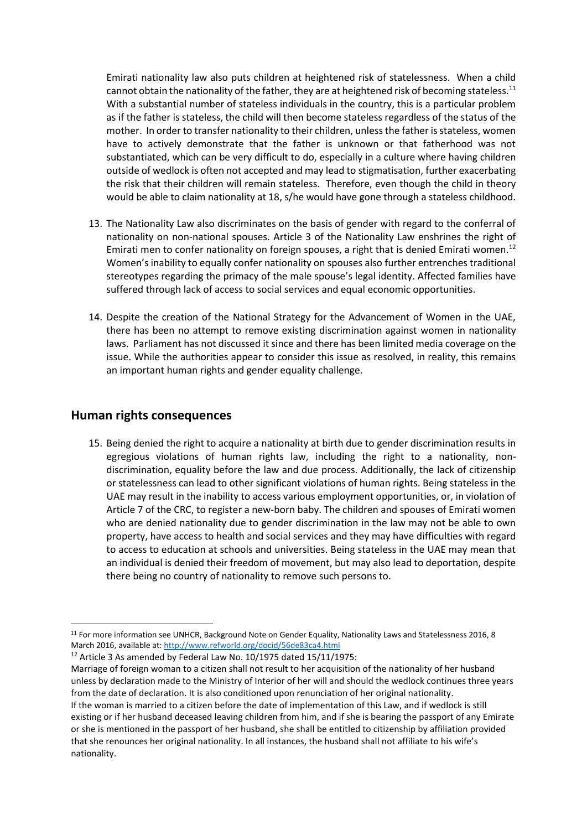Emirati nationality law also puts children at heightened risk of statelessness. When a child cannot obtain the nationality of the father, they are at heightened risk of becoming stateless.<sup>11</sup> With a substantial number of stateless individuals in the country, this is a particular problem as if the father is stateless, the child will then become stateless regardless of the status of the mother. In order to transfer nationality to their children, unless the father is stateless, women have to actively demonstrate that the father is unknown or that fatherhood was not substantiated, which can be very difficult to do, especially in a culture where having children outside of wedlock is often not accepted and may lead to stigmatisation, further exacerbating the risk that their children will remain stateless. Therefore, even though the child in theory would be able to claim nationality at 18, s/he would have gone through a stateless childhood.

- 13. The Nationality Law also discriminates on the basis of gender with regard to the conferral of nationality on non-national spouses. Article 3 of the Nationality Law enshrines the right of Emirati men to confer nationality on foreign spouses, a right that is denied Emirati women.<sup>12</sup> Women's inability to equally confer nationality on spouses also further entrenches traditional stereotypes regarding the primacy of the male spouse's legal identity. Affected families have suffered through lack of access to social services and equal economic opportunities.
- 14. Despite the creation of the National Strategy for the Advancement of Women in the UAE, there has been no attempt to remove existing discrimination against women in nationality laws. Parliament has not discussed it since and there has been limited media coverage on the issue. While the authorities appear to consider this issue as resolved, in reality, this remains an important human rights and gender equality challenge.

#### **Human rights consequences**

**.** 

15. Being denied the right to acquire a nationality at birth due to gender discrimination results in egregious violations of human rights law, including the right to a nationality, nondiscrimination, equality before the law and due process. Additionally, the lack of citizenship or statelessness can lead to other significant violations of human rights. Being stateless in the UAE may result in the inability to access various employment opportunities, or, in violation of Article 7 of the CRC, to register a new-born baby. The children and spouses of Emirati women who are denied nationality due to gender discrimination in the law may not be able to own property, have access to health and social services and they may have difficulties with regard to access to education at schools and universities. Being stateless in the UAE may mean that an individual is denied their freedom of movement, but may also lead to deportation, despite there being no country of nationality to remove such persons to.

 $12$  Article 3 As amended by Federal Law No. 10/1975 dated 15/11/1975:

Marriage of foreign woman to a citizen shall not result to her acquisition of the nationality of her husband unless by declaration made to the Ministry of Interior of her will and should the wedlock continues three years from the date of declaration. It is also conditioned upon renunciation of her original nationality. If the woman is married to a citizen before the date of implementation of this Law, and if wedlock is still existing or if her husband deceased leaving children from him, and if she is bearing the passport of any Emirate or she is mentioned in the passport of her husband, she shall be entitled to citizenship by affiliation provided that she renounces her original nationality. In all instances, the husband shall not affiliate to his wife's nationality.

<sup>11</sup> For more information see UNHCR, Background Note on Gender Equality, Nationality Laws and Statelessness 2016, 8 March 2016, available at[: http://www.refworld.org/docid/56de83ca4.html](http://www.refworld.org/docid/56de83ca4.html)